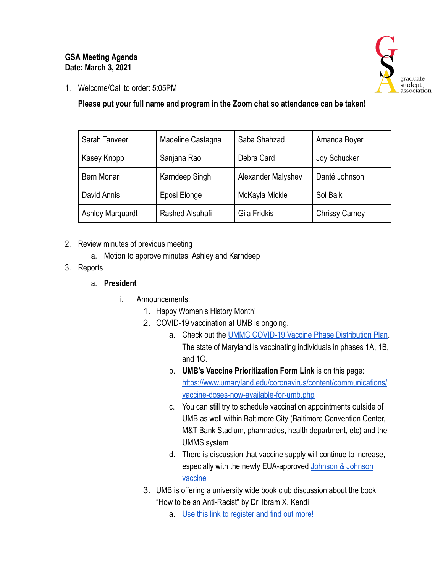## **GSA Meeting Agenda Date: March 3, 2021**



1. Welcome/Call to order: 5:05PM

**Please put your full name and program in the Zoom chat so attendance can be taken!** 

| Sarah Tanveer           | Madeline Castagna | Saba Shahzad       | Amanda Boyer          |
|-------------------------|-------------------|--------------------|-----------------------|
| Kasey Knopp             | Sanjana Rao       | Debra Card         | Joy Schucker          |
| Bern Monari             | Karndeep Singh    | Alexander Malyshev | Danté Johnson         |
| David Annis             | Eposi Elonge      | McKayla Mickle     | Sol Baik              |
| <b>Ashley Marquardt</b> | Rashed Alsahafi   | Gila Fridkis       | <b>Chrissy Carney</b> |

- 2. Review minutes of previous meeting
	- a. Motion to approve minutes: Ashley and Karndeep
- 3. Reports

#### a. **President**

- i. Announcements:
	- 1. Happy Women's History Month!
	- 2. COVID-19 vaccination at UMB is ongoing.
		- a. Check out the [UMMC COVID-19 Vaccine Phase Distribution Plan](https://nam11.safelinks.protection.outlook.com/?url=http%3A%2F%2Fs.bl-1.com%2Fh%2FdbZdvsYV%3Furl%3Dhttps%3A%2F%2Fwww.umms.org%2Fummc%2F-%2Fmedia%2Ffiles%2Fprivate%2Fumms%2Fcovid-vaccine%2Fcovid-19-vaccines-phased-distribution.pdf&data=04%7C01%7Cemily_smith%40pobox.umaryland.edu%7Cc0a3b0bbe7d042ea64a508d8b0d61e84%7C3dcdbc4a7e4c407b80f77fb6757182f2%7C0%7C0%7C637453780998335273%7CUnknown%7CTWFpbGZsb3d8eyJWIjoiMC4wLjAwMDAiLCJQIjoiV2luMzIiLCJBTiI6Ik1haWwiLCJXVCI6Mn0%3D%7C1000&sdata=%2FWwM%2F0bXPVeoiKVqn7g4egErYR%2BwjUkI0sJJnvstqxM%3D&reserved=0) . The state of Maryland is vaccinating individuals in phases 1A, 1B, and 1C.
		- b. **UMB's Vaccine Prioritization Form Link** is on this page: [https://www.umaryland.edu/coronavirus/content/communications/](https://www.umaryland.edu/coronavirus/content/communications/vaccine-doses-now-available-for-umb.php)  [vaccine-doses-now-available-for-umb.php](https://www.umaryland.edu/coronavirus/content/communications/vaccine-doses-now-available-for-umb.php)
		- c. You can still try to schedule vaccination appointments outside of UMB as well within Baltimore City (Baltimore Convention Center, M&T Bank Stadium, pharmacies, health department, etc) and the UMMS system
		- d. There is discussion that vaccine supply will continue to increase, especially with the newly EUA-approved [Johnson & Johnson](https://governor.maryland.gov/2021/03/01/state-of-maryland-to-deploy-single-dose-johnson-johnson-vaccine-beginning-this-week/?fbclid=IwAR3XcFyDy6azibpiRQdNkWbu5Hqi45nmennpqKu4cGgjKZOQ42vhwwzoDrA)  [vaccine](https://governor.maryland.gov/2021/03/01/state-of-maryland-to-deploy-single-dose-johnson-johnson-vaccine-beginning-this-week/?fbclid=IwAR3XcFyDy6azibpiRQdNkWbu5Hqi45nmennpqKu4cGgjKZOQ42vhwwzoDrA)
	- 3. UMB is offering a university wide book club discussion about the book "How to be an Anti-Racist" by Dr. Ibram X. Kendi
		- a. [Use this link to register and find out more!](https://www.umaryland.edu/politics-panel/how-to-be-an-anti-racist-with-ibram-x-kendi-phd-ma/book-club/)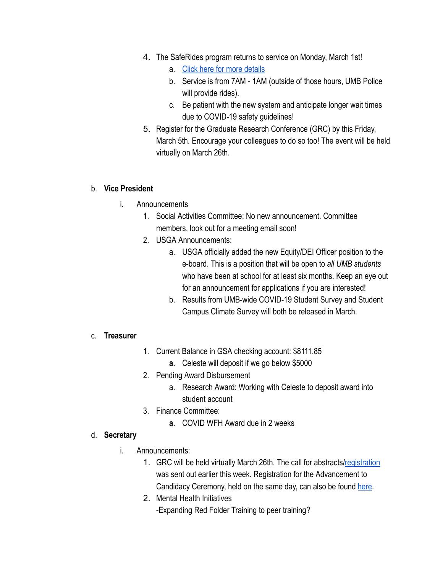- 4. The SafeRides program returns to service on Monday, March 1st!
	- a. [Click here for more details](https://www.umaryland.edu/police/safe-walk-safe-ride/)
	- b. Service is from 7AM 1AM (outside of those hours, UMB Police will provide rides).
	- c. Be patient with the new system and anticipate longer wait times due to COVID-19 safety guidelines!
- 5. Register for the Graduate Research Conference (GRC) by this Friday, March 5th. Encourage your colleagues to do so too! The event will be held virtually on March 26th.

#### b. **Vice President**

- i. Announcements
	- 1. Social Activities Committee: No new announcement. Committee members, look out for a meeting email soon!
	- 2. USGA Announcements:
		- a. USGA officially added the new Equity/DEI Officer position to the e-board. This is a position that will be open to *all UMB students*  who have been at school for at least six months. Keep an eye out for an announcement for applications if you are interested!
		- b. Results from UMB-wide COVID-19 Student Survey and Student Campus Climate Survey will both be released in March.

## c. **Treasurer**

- 1. Current Balance in GSA checking account: \$8111.85
	- **a.** Celeste will deposit if we go below \$5000
- 2. Pending Award Disbursement
	- a. Research Award: Working with Celeste to deposit award into student account
- 3. Finance Committee:
	- **a.** COVID WFH Award due in 2 weeks

## d. **Secretary**

- i. Announcements:
	- 1. GRC will be held virtually March 26th. The call for abstracts/ registration was sent out earlier this week. Registration for the Advancement to Candidacy Ceremony, held on the same day, can also be found [here](https://umbforms.wufoo.com/forms/q1kxzejx00uqu0p/).
	- 2. Mental Health Initiatives -Expanding Red Folder Training to peer training?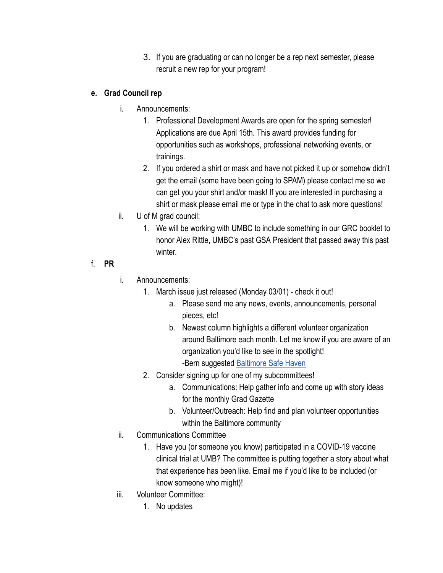3. If you are graduating or can no longer be a rep next semester, please recruit a new rep for your program!

# **e. Grad Council rep**

- i. Announcements:
	- 1. Professional Development Awards are open for the spring semester! Applications are due April 15th. This award provides funding for opportunities such as workshops, professional networking events, or trainings.
	- 2. If you ordered a shirt or mask and have not picked it up or somehow didn't get the email (some have been going to SPAM) please contact me so we can get you your shirt and/or mask! If you are interested in purchasing a shirt or mask please email me or type in the chat to ask more questions!
- ii. U of M grad council:
	- 1. We will be working with UMBC to include something in our GRC booklet to honor Alex Rittle, UMBC's past GSA President that passed away this past winter.
- f. **PR**
- i. Announcements:
	- 1. March issue just released (Monday 03/01) check it out!
		- a. Please send me any news, events, announcements, personal pieces, etc!
		- b. Newest column highlights a different volunteer organization around Baltimore each month. Let me know if you are aware of an organization you'd like to see in the spotlight! -Bern suggested Baltimore Safe Haven
	- 2. Consider signing up for one of my subcommittees!
		- a. Communications: Help gather info and come up with story ideas for the monthly Grad Gazette
		- b. Volunteer/Outreach: Help find and plan volunteer opportunities within the Baltimore community
- ii. Communications Committee
	- 1. Have you (or someone you know) participated in a COVID-19 vaccine clinical trial at UMB? The committee is putting together a story about what that experience has been like. Email me if you'd like to be included (or know someone who might)!
- iii. Volunteer Committee:
	- 1. No updates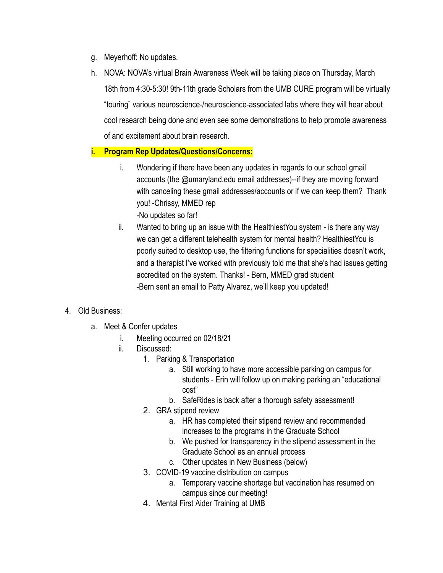- g. Meyerhoff: No updates.
- h. NOVA: NOVA's virtual Brain Awareness Week will be taking place on Thursday, March 18th from 4:30-5:30! 9th-11th grade Scholars from the UMB CURE program will be virtually "touring" various neuroscience-/neuroscience-associated labs where they will hear about cool research being done and even see some demonstrations to help promote awareness of and excitement about brain research.

## **i. Program Rep Updates/Questions/Concerns:**

- i. Wondering if there have been any updates in regards to our school gmail accounts (the @umaryland.edu email addresses)--if they are moving forward with canceling these gmail addresses/accounts or if we can keep them? Thank you! -Chrissy, MMED rep -No updates so far!
- ii. Wanted to bring up an issue with the HealthiestYou system is there any way we can get a different telehealth system for mental health? HealthiestYou is poorly suited to desktop use, the filtering functions for specialities doesn't work, and a therapist I've worked with previously told me that she's had issues getting accredited on the system. Thanks! - Bern, MMED grad student -Bern sent an email to Patty Alvarez, we'll keep you updated!
- 4. Old Business:
	- a. Meet & Confer updates
		- i. Meeting occurred on 02/18/21
		- ii. Discussed:
			- 1. Parking & Transportation
				- a. Still working to have more accessible parking on campus for students - Erin will follow up on making parking an "educational cost"
				- b. SafeRides is back after a thorough safety assessment!
			- 2. GRA stipend review
				- a. HR has completed their stipend review and recommended increases to the programs in the Graduate School
				- b. We pushed for transparency in the stipend assessment in the Graduate School as an annual process
				- c. Other updates in New Business (below)
			- 3. COVID-19 vaccine distribution on campus
				- a. Temporary vaccine shortage but vaccination has resumed on campus since our meeting!
			- 4. Mental First Aider Training at UMB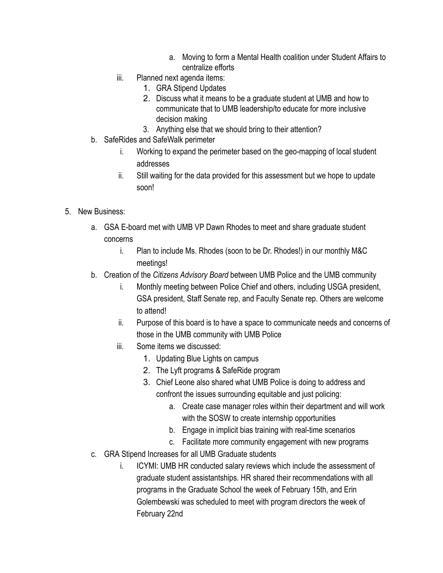- a. Moving to form a Mental Health coalition under Student Affairs to centralize efforts
- iii. Planned next agenda items:
	- 1. GRA Stipend Updates
	- 2. Discuss what it means to be a graduate student at UMB and how to communicate that to UMB leadership/to educate for more inclusive decision making
	- 3. Anything else that we should bring to their attention?
- b. SafeRides and SafeWalk perimeter
	- i. Working to expand the perimeter based on the geo-mapping of local student addresses
	- ii. Still waiting for the data provided for this assessment but we hope to update soon!
- 5. New Business:
	- a. GSA E-board met with UMB VP Dawn Rhodes to meet and share graduate student concerns
		- i. Plan to include Ms. Rhodes (soon to be Dr. Rhodes!) in our monthly M&C meetings!
	- b. Creation of the *Citizens Advisory Board* between UMB Police and the UMB community
		- i. Monthly meeting between Police Chief and others, including USGA president, GSA president, Staff Senate rep, and Faculty Senate rep. Others are welcome to attend!
		- ii. Purpose of this board is to have a space to communicate needs and concerns of those in the UMB community with UMB Police
		- iii. Some items we discussed:
			- 1. Updating Blue Lights on campus
			- 2. The Lyft programs & SafeRide program
			- 3. Chief Leone also shared what UMB Police is doing to address and confront the issues surrounding equitable and just policing:
				- a. Create case manager roles within their department and will work with the SOSW to create internship opportunities
				- b. Engage in implicit bias training with real-time scenarios
				- c. Facilitate more community engagement with new programs
	- c. GRA Stipend Increases for all UMB Graduate students
		- i. ICYMI: UMB HR conducted salary reviews which include the assessment of graduate student assistantships. HR shared their recommendations with all programs in the Graduate School the week of February 15th, and Erin Golembewski was scheduled to meet with program directors the week of February 22nd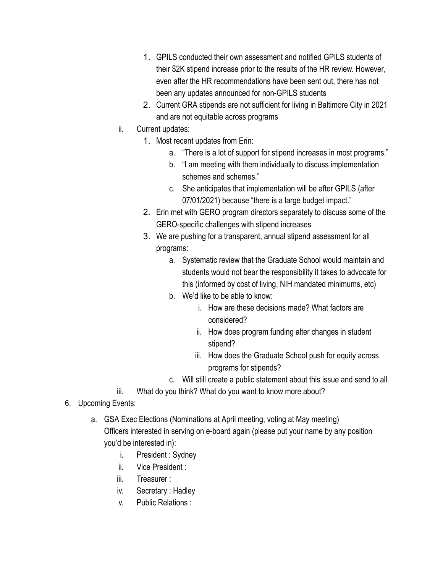- 1. GPILS conducted their own assessment and notified GPILS students of their \$2K stipend increase prior to the results of the HR review. However, even after the HR recommendations have been sent out, there has not been any updates announced for non-GPILS students
- 2. Current GRA stipends are not sufficient for living in Baltimore City in 2021 and are not equitable across programs
- ii. Current updates:
	- 1. Most recent updates from Erin:
		- a. "There is a lot of support for stipend increases in most programs."
		- b. "I am meeting with them individually to discuss implementation schemes and schemes."
		- c. She anticipates that implementation will be after GPILS (after 07/01/2021) because "there is a large budget impact."
	- 2. Erin met with GERO program directors separately to discuss some of the GERO-specific challenges with stipend increases
	- 3. We are pushing for a transparent, annual stipend assessment for all programs:
		- a. Systematic review that the Graduate School would maintain and students would not bear the responsibility it takes to advocate for this (informed by cost of living, NIH mandated minimums, etc)
		- b. We'd like to be able to know:
			- i. How are these decisions made? What factors are considered?
			- ii. How does program funding alter changes in student stipend?
			- iii. How does the Graduate School push for equity across programs for stipends?
		- c. Will still create a public statement about this issue and send to all
- iii. What do you think? What do you want to know more about?
- 6. Upcoming Events:
	- a. GSA Exec Elections (Nominations at April meeting, voting at May meeting) Officers interested in serving on e-board again (please put your name by any position you'd be interested in):
		- i. President : Sydney
		- ii. Vice President :
		- iii. Treasurer :
		- iv. Secretary : Hadley
		- v. Public Relations :